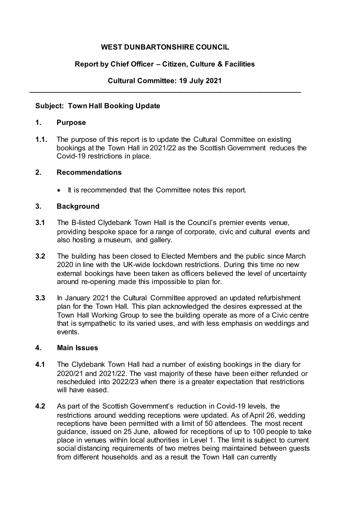## **WEST DUNBARTONSHIRE COUNCIL**

# **Report by Chief Officer – Citizen, Culture & Facilities**

## **Cultural Committee: 19 July 2021 \_\_\_\_\_\_\_\_\_\_\_\_\_\_\_\_\_\_\_\_\_\_\_\_\_\_\_\_\_\_\_\_\_\_\_\_\_\_\_\_\_\_\_\_\_\_\_\_\_\_\_\_\_\_\_\_\_\_\_\_\_\_\_\_\_\_\_**

## **Subject: Town Hall Booking Update**

#### **1. Purpose**

**1.1.** The purpose of this report is to update the Cultural Committee on existing bookings at the Town Hall in 2021/22 as the Scottish Government reduces the Covid-19 restrictions in place.

#### **2. Recommendations**

• It is recommended that the Committee notes this report.

## **3. Background**

- **3.1** The B-listed Clydebank Town Hall is the Council's premier events venue, providing bespoke space for a range of corporate, civic and cultural events and also hosting a museum, and gallery.
- **3.2** The building has been closed to Elected Members and the public since March 2020 in line with the UK-wide lockdown restrictions. During this time no new external bookings have been taken as officers believed the level of uncertainty around re-opening made this impossible to plan for.
- **3.3** In January 2021 the Cultural Committee approved an updated refurbishment plan for the Town Hall. This plan acknowledged the desires expressed at the Town Hall Working Group to see the building operate as more of a Civic centre that is sympathetic to its varied uses, and with less emphasis on weddings and events.

#### **4. Main Issues**

- **4.1** The Clydebank Town Hall had a number of existing bookings in the diary for 2020/21 and 2021/22. The vast majority of these have been either refunded or rescheduled into 2022/23 when there is a greater expectation that restrictions will have eased.
- **4.2** As part of the Scottish Government's reduction in Covid-19 levels, the restrictions around wedding receptions were updated. As of April 26, wedding receptions have been permitted with a limit of 50 attendees. The most recent guidance, issued on 25 June, allowed for receptions of up to 100 people to take place in venues within local authorities in Level 1. The limit is subject to current social distancing requirements of two metres being maintained between guests from different households and as a result the Town Hall can currently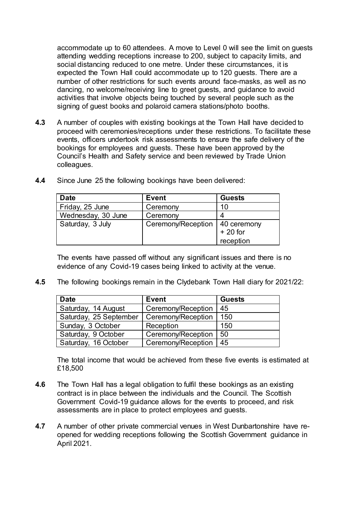accommodate up to 60 attendees. A move to Level 0 will see the limit on guests attending wedding receptions increase to 200, subject to capacity limits, and social distancing reduced to one metre. Under these circumstances, it is expected the Town Hall could accommodate up to 120 guests. There are a number of other restrictions for such events around face-masks, as well as no dancing, no welcome/receiving line to greet guests, and guidance to avoid activities that involve objects being touched by several people such as the signing of guest books and polaroid camera stations/photo booths.

**4.3** A number of couples with existing bookings at the Town Hall have decided to proceed with ceremonies/receptions under these restrictions. To facilitate these events, officers undertook risk assessments to ensure the safe delivery of the bookings for employees and guests. These have been approved by the Council's Health and Safety service and been reviewed by Trade Union colleagues.

| <b>Date</b>        | <b>Event</b>       | <b>Guests</b>            |
|--------------------|--------------------|--------------------------|
| Friday, 25 June    | Ceremony           | 10                       |
| Wednesday, 30 June | Ceremony           |                          |
| Saturday, 3 July   | Ceremony/Reception | 40 ceremony<br>$+20$ for |
|                    |                    | reception                |

**4.4** Since June 25 the following bookings have been delivered:

The events have passed off without any significant issues and there is no evidence of any Covid-19 cases being linked to activity at the venue.

**4.5** The following bookings remain in the Clydebank Town Hall diary for 2021/22:

| <b>Date</b>            | <b>Event</b>       | <b>Guests</b> |
|------------------------|--------------------|---------------|
| Saturday, 14 August    | Ceremony/Reception | 45            |
| Saturday, 25 September | Ceremony/Reception | 150           |
| Sunday, 3 October      | Reception          | 150           |
| Saturday, 9 October    | Ceremony/Reception | 50            |
| Saturday, 16 October   | Ceremony/Reception | 45            |

The total income that would be achieved from these five events is estimated at £18,500

- **4.6** The Town Hall has a legal obligation to fulfil these bookings as an existing contract is in place between the individuals and the Council. The Scottish Government Covid-19 guidance allows for the events to proceed, and risk assessments are in place to protect employees and guests.
- **4.7** A number of other private commercial venues in West Dunbartonshire have reopened for wedding receptions following the Scottish Government guidance in April 2021.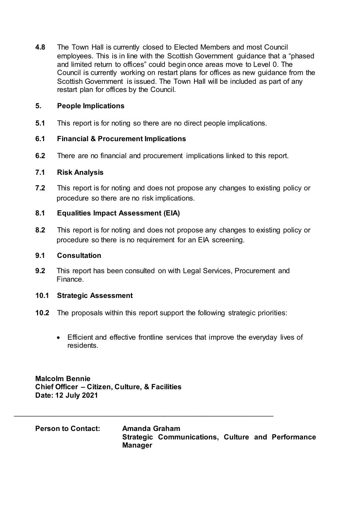**4.8** The Town Hall is currently closed to Elected Members and most Council employees. This is in line with the Scottish Government guidance that a "phased and limited return to offices" could begin once areas move to Level 0. The Council is currently working on restart plans for offices as new guidance from the Scottish Government is issued. The Town Hall will be included as part of any restart plan for offices by the Council.

## **5. People Implications**

**5.1** This report is for noting so there are no direct people implications.

## **6.1 Financial & Procurement Implications**

**6.2** There are no financial and procurement implications linked to this report.

#### **7.1 Risk Analysis**

**7.2** This report is for noting and does not propose any changes to existing policy or procedure so there are no risk implications.

## **8.1 Equalities Impact Assessment (EIA)**

**8.2** This report is for noting and does not propose any changes to existing policy or procedure so there is no requirement for an EIA screening.

## **9.1 Consultation**

**9.2** This report has been consulted on with Legal Services, Procurement and Finance.

#### **10.1 Strategic Assessment**

- **10.2** The proposals within this report support the following strategic priorities:
	- Efficient and effective frontline services that improve the everyday lives of residents.

**Malcolm Bennie Chief Officer – Citizen, Culture, & Facilities Date: 12 July 2021**

**Person to Contact: Amanda Graham Strategic Communications, Culture and Performance Manager**

\_\_\_\_\_\_\_\_\_\_\_\_\_\_\_\_\_\_\_\_\_\_\_\_\_\_\_\_\_\_\_\_\_\_\_\_\_\_\_\_\_\_\_\_\_\_\_\_\_\_\_\_\_\_\_\_\_\_\_\_\_\_\_\_